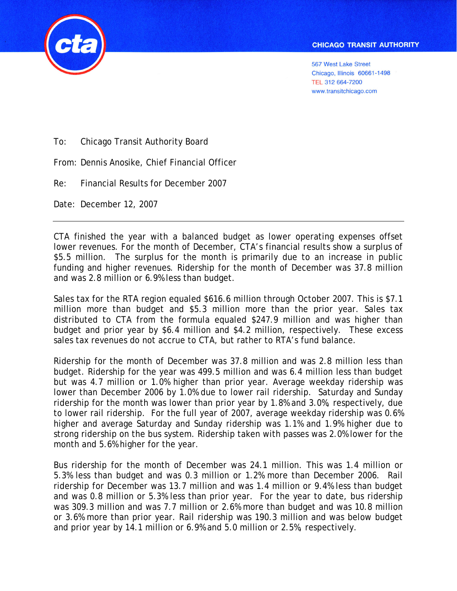

567 West Lake Street Chicago, Illinois 60661-1498 TEL 312 664-7200 www.transitchicago.com

To: Chicago Transit Authority Board

From: Dennis Anosike, Chief Financial Officer

Re: Financial Results for December 2007

Date: December 12, 2007

CTA finished the year with a balanced budget as lower operating expenses offset lower revenues. For the month of December, CTA's financial results show a surplus of \$5.5 million. The surplus for the month is primarily due to an increase in public funding and higher revenues. Ridership for the month of December was 37.8 million and was 2.8 million or 6.9% less than budget.

Sales tax for the RTA region equaled \$616.6 million through October 2007. This is \$7.1 million more than budget and \$5.3 million more than the prior year. Sales tax distributed to CTA from the formula equaled \$247.9 million and was higher than budget and prior year by \$6.4 million and \$4.2 million, respectively. These excess sales tax revenues do not accrue to CTA, but rather to RTA's fund balance.

Ridership for the month of December was 37.8 million and was 2.8 million less than budget. Ridership for the year was 499.5 million and was 6.4 million less than budget but was 4.7 million or 1.0% higher than prior year. Average weekday ridership was lower than December 2006 by 1.0% due to lower rail ridership. Saturday and Sunday ridership for the month was lower than prior year by 1.8% and 3.0%, respectively, due to lower rail ridership. For the full year of 2007, average weekday ridership was 0.6% higher and average Saturday and Sunday ridership was 1.1% and 1.9% higher due to strong ridership on the bus system. Ridership taken with passes was 2.0% lower for the month and 5.6% higher for the year.

Bus ridership for the month of December was 24.1 million. This was 1.4 million or 5.3% less than budget and was 0.3 million or 1.2% more than December 2006. Rail ridership for December was 13.7 million and was 1.4 million or 9.4% less than budget and was 0.8 million or 5.3% less than prior year. For the year to date, bus ridership was 309.3 million and was 7.7 million or 2.6% more than budget and was 10.8 million or 3.6% more than prior year. Rail ridership was 190.3 million and was below budget and prior year by 14.1 million or 6.9% and 5.0 million or 2.5%, respectively.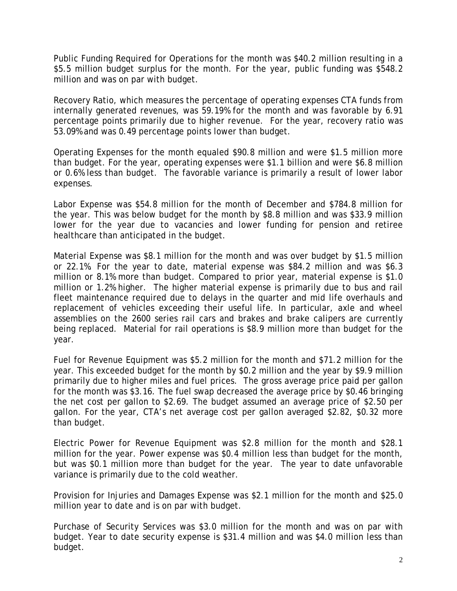Public Funding Required for Operations for the month was \$40.2 million resulting in a \$5.5 million budget surplus for the month. For the year, public funding was \$548.2 million and was on par with budget.

Recovery Ratio, which measures the percentage of operating expenses CTA funds from internally generated revenues, was 59.19% for the month and was favorable by 6.91 percentage points primarily due to higher revenue. For the year, recovery ratio was 53.09% and was 0.49 percentage points lower than budget.

Operating Expenses for the month equaled \$90.8 million and were \$1.5 million more than budget. For the year, operating expenses were \$1.1 billion and were \$6.8 million or 0.6% less than budget. The favorable variance is primarily a result of lower labor expenses.

Labor Expense was \$54.8 million for the month of December and \$784.8 million for the year. This was below budget for the month by \$8.8 million and was \$33.9 million lower for the year due to vacancies and lower funding for pension and retiree healthcare than anticipated in the budget.

Material Expense was \$8.1 million for the month and was over budget by \$1.5 million or 22.1%. For the year to date, material expense was \$84.2 million and was \$6.3 million or 8.1% more than budget. Compared to prior year, material expense is \$1.0 million or 1.2% higher. The higher material expense is primarily due to bus and rail fleet maintenance required due to delays in the quarter and mid life overhauls and replacement of vehicles exceeding their useful life. In particular, axle and wheel assemblies on the 2600 series rail cars and brakes and brake calipers are currently being replaced. Material for rail operations is \$8.9 million more than budget for the year.

Fuel for Revenue Equipment was \$5.2 million for the month and \$71.2 million for the year. This exceeded budget for the month by \$0.2 million and the year by \$9.9 million primarily due to higher miles and fuel prices. The gross average price paid per gallon for the month was \$3.16. The fuel swap decreased the average price by \$0.46 bringing the net cost per gallon to \$2.69. The budget assumed an average price of \$2.50 per gallon. For the year, CTA's net average cost per gallon averaged \$2.82, \$0.32 more than budget.

Electric Power for Revenue Equipment was \$2.8 million for the month and \$28.1 million for the year. Power expense was \$0.4 million less than budget for the month, but was \$0.1 million more than budget for the year. The year to date unfavorable variance is primarily due to the cold weather.

Provision for Injuries and Damages Expense was \$2.1 million for the month and \$25.0 million year to date and is on par with budget.

Purchase of Security Services was \$3.0 million for the month and was on par with budget. Year to date security expense is \$31.4 million and was \$4.0 million less than budget.